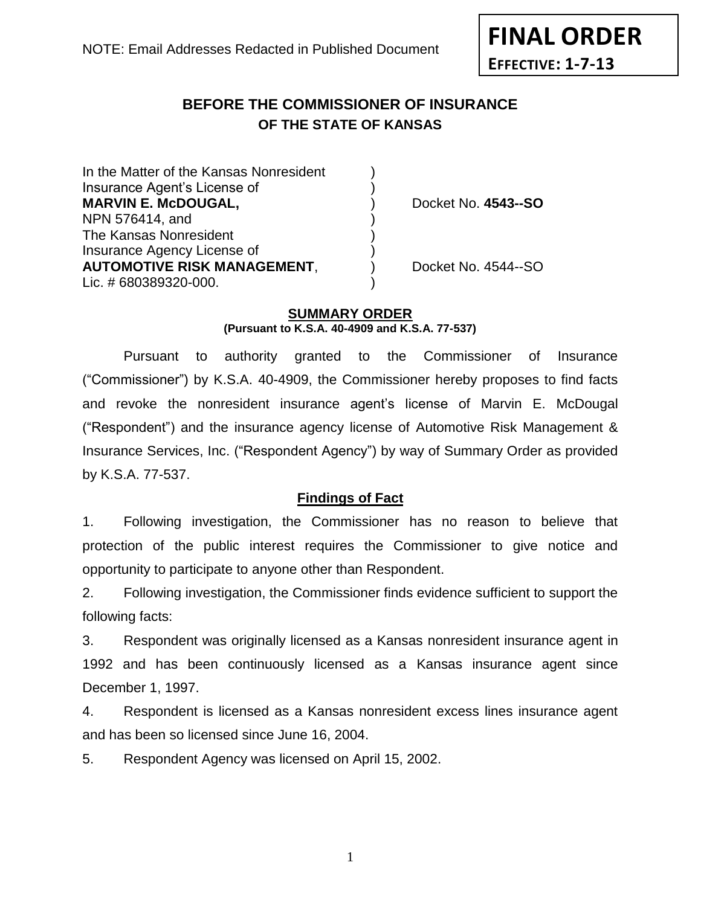**EFFECTIVE: 1-7-13**

**FINAL ORDER**

#### **BEFORE THE COMMISSIONER OF INSURANCE OF THE STATE OF KANSAS** *-12*

| In the Matter of the Kansas Nonresident |                     |
|-----------------------------------------|---------------------|
| Insurance Agent's License of            |                     |
| <b>MARVIN E. McDOUGAL,</b>              | Docket No. 4543--SO |
| NPN 576414, and                         |                     |
| The Kansas Nonresident                  |                     |
| Insurance Agency License of             |                     |
| <b>AUTOMOTIVE RISK MANAGEMENT,</b>      | Docket No. 4544--SO |
| Lic. #680389320-000.                    |                     |
|                                         |                     |

# **SUMMARY ORDER**

**(Pursuant to K.S.A. 40-4909 and K.S.A. 77-537)**

Pursuant to authority granted to the Commissioner of Insurance ("Commissioner") by K.S.A. 40-4909, the Commissioner hereby proposes to find facts and revoke the nonresident insurance agent's license of Marvin E. McDougal ("Respondent") and the insurance agency license of Automotive Risk Management & Insurance Services, Inc. ("Respondent Agency") by way of Summary Order as provided by K.S.A. 77-537.

## **Findings of Fact**

1. Following investigation, the Commissioner has no reason to believe that protection of the public interest requires the Commissioner to give notice and opportunity to participate to anyone other than Respondent.

2. Following investigation, the Commissioner finds evidence sufficient to support the following facts:

3. Respondent was originally licensed as a Kansas nonresident insurance agent in 1992 and has been continuously licensed as a Kansas insurance agent since December 1, 1997.

4. Respondent is licensed as a Kansas nonresident excess lines insurance agent and has been so licensed since June 16, 2004.

5. Respondent Agency was licensed on April 15, 2002.

1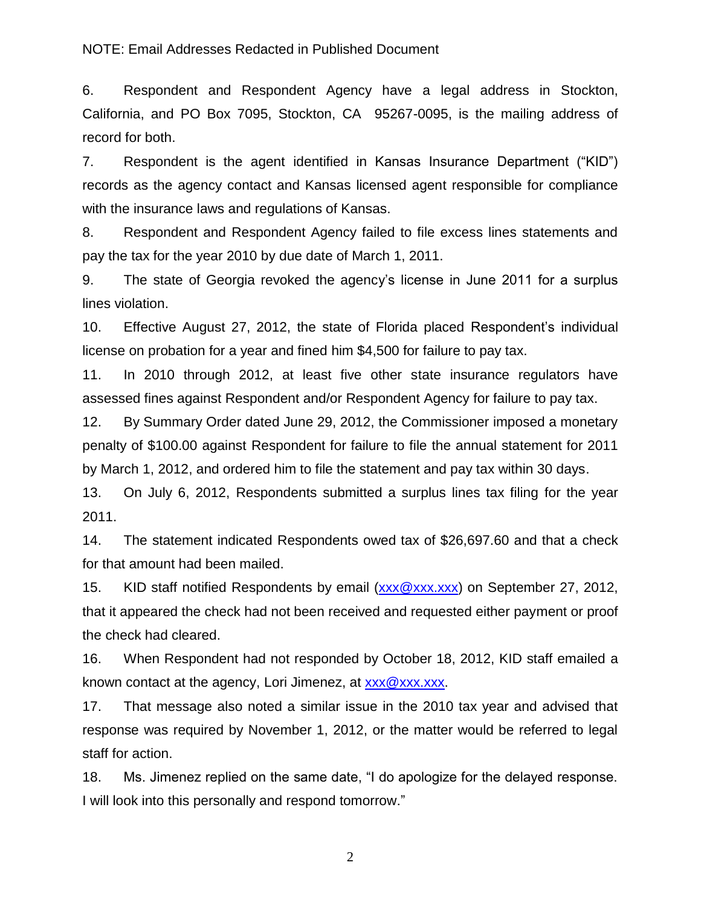#### NOTE: Email Addresses Redacted in Published Document

6. Respondent and Respondent Agency have a legal address in Stockton, California, and PO Box 7095, Stockton, CA 95267-0095, is the mailing address of record for both.

7. Respondent is the agent identified in Kansas Insurance Department ("KID") records as the agency contact and Kansas licensed agent responsible for compliance with the insurance laws and regulations of Kansas.

8. Respondent and Respondent Agency failed to file excess lines statements and pay the tax for the year 2010 by due date of March 1, 2011.

9. The state of Georgia revoked the agency's license in June 2011 for a surplus lines violation.

10. Effective August 27, 2012, the state of Florida placed Respondent's individual license on probation for a year and fined him \$4,500 for failure to pay tax.

11. In 2010 through 2012, at least five other state insurance regulators have assessed fines against Respondent and/or Respondent Agency for failure to pay tax.

12. By Summary Order dated June 29, 2012, the Commissioner imposed a monetary penalty of \$100.00 against Respondent for failure to file the annual statement for 2011 by March 1, 2012, and ordered him to file the statement and pay tax within 30 days.

13. On July 6, 2012, Respondents submitted a surplus lines tax filing for the year 2011.

14. The statement indicated Respondents owed tax of \$26,697.60 and that a check for that amount had been mailed.

15. KID staff notified Respondents by email [\(xxx@xxx.xxx\)](mailto:XXX@XXX.XXX) on September 27, 2012, that it appeared the check had not been received and requested either payment or proof the check had cleared.

16. When Respondent had not responded by October 18, 2012, KID staff emailed a known contact at the agency, Lori Jimenez, at [xxx@xxx.xxx.](mailto:XXX@XXX.XXX)

17. That message also noted a similar issue in the 2010 tax year and advised that response was required by November 1, 2012, or the matter would be referred to legal staff for action.

18. Ms. Jimenez replied on the same date, "I do apologize for the delayed response. I will look into this personally and respond tomorrow."

2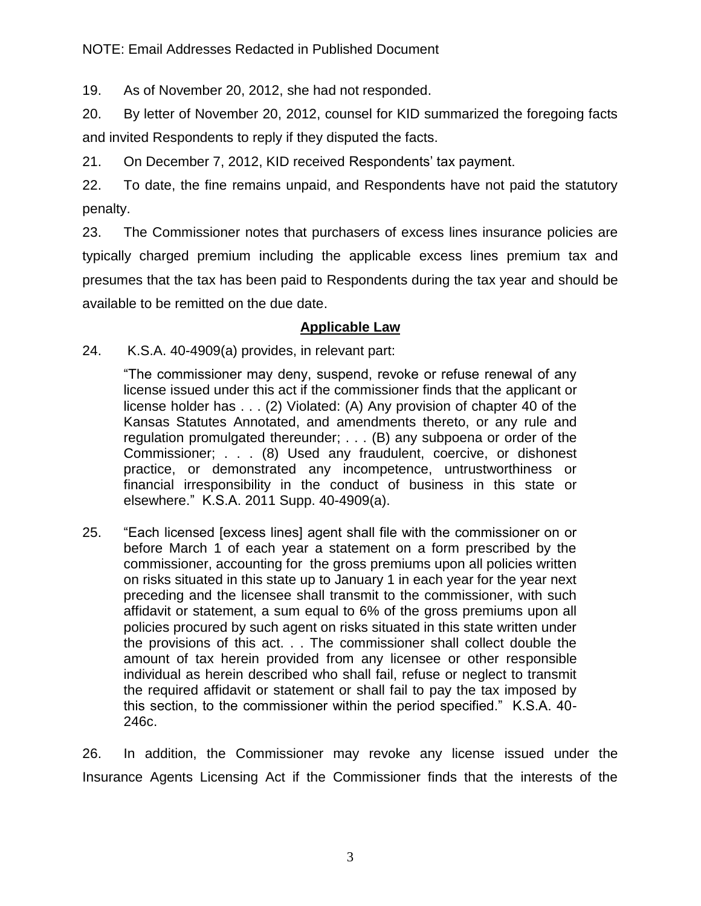19. As of November 20, 2012, she had not responded.

20. By letter of November 20, 2012, counsel for KID summarized the foregoing facts and invited Respondents to reply if they disputed the facts.

21. On December 7, 2012, KID received Respondents' tax payment.

22. To date, the fine remains unpaid, and Respondents have not paid the statutory penalty.

23. The Commissioner notes that purchasers of excess lines insurance policies are typically charged premium including the applicable excess lines premium tax and presumes that the tax has been paid to Respondents during the tax year and should be available to be remitted on the due date.

# **Applicable Law**

24. K.S.A. 40-4909(a) provides, in relevant part:

"The commissioner may deny, suspend, revoke or refuse renewal of any license issued under this act if the commissioner finds that the applicant or license holder has . . . (2) Violated: (A) Any provision of chapter 40 of the Kansas Statutes Annotated, and amendments thereto, or any rule and regulation promulgated thereunder; . . . (B) any subpoena or order of the Commissioner; . . . (8) Used any fraudulent, coercive, or dishonest practice, or demonstrated any incompetence, untrustworthiness or financial irresponsibility in the conduct of business in this state or elsewhere." K.S.A. 2011 Supp. 40-4909(a).

25. "Each licensed [excess lines] agent shall file with the commissioner on or before March 1 of each year a statement on a form prescribed by the commissioner, accounting for the gross premiums upon all policies written on risks situated in this state up to January 1 in each year for the year next preceding and the licensee shall transmit to the commissioner, with such affidavit or statement, a sum equal to 6% of the gross premiums upon all policies procured by such agent on risks situated in this state written under the provisions of this act. . . The commissioner shall collect double the amount of tax herein provided from any licensee or other responsible individual as herein described who shall fail, refuse or neglect to transmit the required affidavit or statement or shall fail to pay the tax imposed by this section, to the commissioner within the period specified." K.S.A. 40- 246c.

26. In addition, the Commissioner may revoke any license issued under the Insurance Agents Licensing Act if the Commissioner finds that the interests of the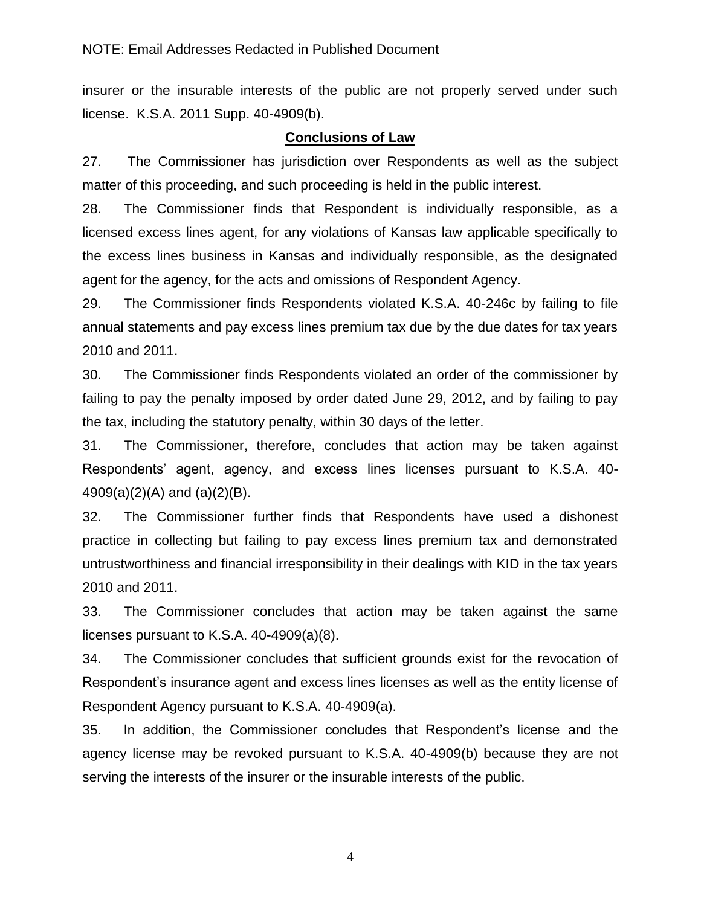insurer or the insurable interests of the public are not properly served under such license. K.S.A. 2011 Supp. 40-4909(b).

### **Conclusions of Law**

27. The Commissioner has jurisdiction over Respondents as well as the subject matter of this proceeding, and such proceeding is held in the public interest.

28. The Commissioner finds that Respondent is individually responsible, as a licensed excess lines agent, for any violations of Kansas law applicable specifically to the excess lines business in Kansas and individually responsible, as the designated agent for the agency, for the acts and omissions of Respondent Agency.

29. The Commissioner finds Respondents violated K.S.A. 40-246c by failing to file annual statements and pay excess lines premium tax due by the due dates for tax years 2010 and 2011.

30. The Commissioner finds Respondents violated an order of the commissioner by failing to pay the penalty imposed by order dated June 29, 2012, and by failing to pay the tax, including the statutory penalty, within 30 days of the letter.

31. The Commissioner, therefore, concludes that action may be taken against Respondents' agent, agency, and excess lines licenses pursuant to K.S.A. 40- 4909(a)(2)(A) and (a)(2)(B).

32. The Commissioner further finds that Respondents have used a dishonest practice in collecting but failing to pay excess lines premium tax and demonstrated untrustworthiness and financial irresponsibility in their dealings with KID in the tax years 2010 and 2011.

33. The Commissioner concludes that action may be taken against the same licenses pursuant to K.S.A. 40-4909(a)(8).

34. The Commissioner concludes that sufficient grounds exist for the revocation of Respondent's insurance agent and excess lines licenses as well as the entity license of Respondent Agency pursuant to K.S.A. 40-4909(a).

35. In addition, the Commissioner concludes that Respondent's license and the agency license may be revoked pursuant to K.S.A. 40-4909(b) because they are not serving the interests of the insurer or the insurable interests of the public.

4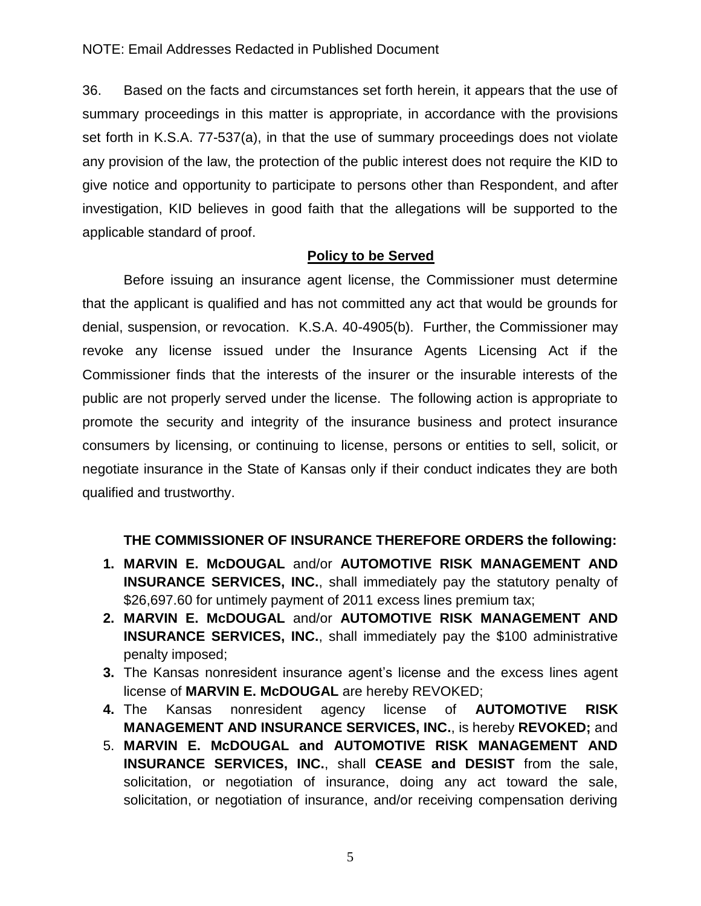#### NOTE: Email Addresses Redacted in Published Document

36. Based on the facts and circumstances set forth herein, it appears that the use of summary proceedings in this matter is appropriate, in accordance with the provisions set forth in K.S.A. 77-537(a), in that the use of summary proceedings does not violate any provision of the law, the protection of the public interest does not require the KID to give notice and opportunity to participate to persons other than Respondent, and after investigation, KID believes in good faith that the allegations will be supported to the applicable standard of proof.

#### **Policy to be Served**

Before issuing an insurance agent license, the Commissioner must determine that the applicant is qualified and has not committed any act that would be grounds for denial, suspension, or revocation. K.S.A. 40-4905(b). Further, the Commissioner may revoke any license issued under the Insurance Agents Licensing Act if the Commissioner finds that the interests of the insurer or the insurable interests of the public are not properly served under the license. The following action is appropriate to promote the security and integrity of the insurance business and protect insurance consumers by licensing, or continuing to license, persons or entities to sell, solicit, or negotiate insurance in the State of Kansas only if their conduct indicates they are both qualified and trustworthy.

## **THE COMMISSIONER OF INSURANCE THEREFORE ORDERS the following:**

- **1. MARVIN E. McDOUGAL** and/or **AUTOMOTIVE RISK MANAGEMENT AND INSURANCE SERVICES, INC., shall immediately pay the statutory penalty of** \$26,697.60 for untimely payment of 2011 excess lines premium tax;
- **2. MARVIN E. McDOUGAL** and/or **AUTOMOTIVE RISK MANAGEMENT AND INSURANCE SERVICES, INC., shall immediately pay the \$100 administrative** penalty imposed;
- **3.** The Kansas nonresident insurance agent's license and the excess lines agent license of **MARVIN E. McDOUGAL** are hereby REVOKED;
- **4.** The Kansas nonresident agency license of **AUTOMOTIVE RISK MANAGEMENT AND INSURANCE SERVICES, INC.**, is hereby **REVOKED;** and
- 5. **MARVIN E. McDOUGAL and AUTOMOTIVE RISK MANAGEMENT AND INSURANCE SERVICES, INC.**, shall **CEASE and DESIST** from the sale, solicitation, or negotiation of insurance, doing any act toward the sale, solicitation, or negotiation of insurance, and/or receiving compensation deriving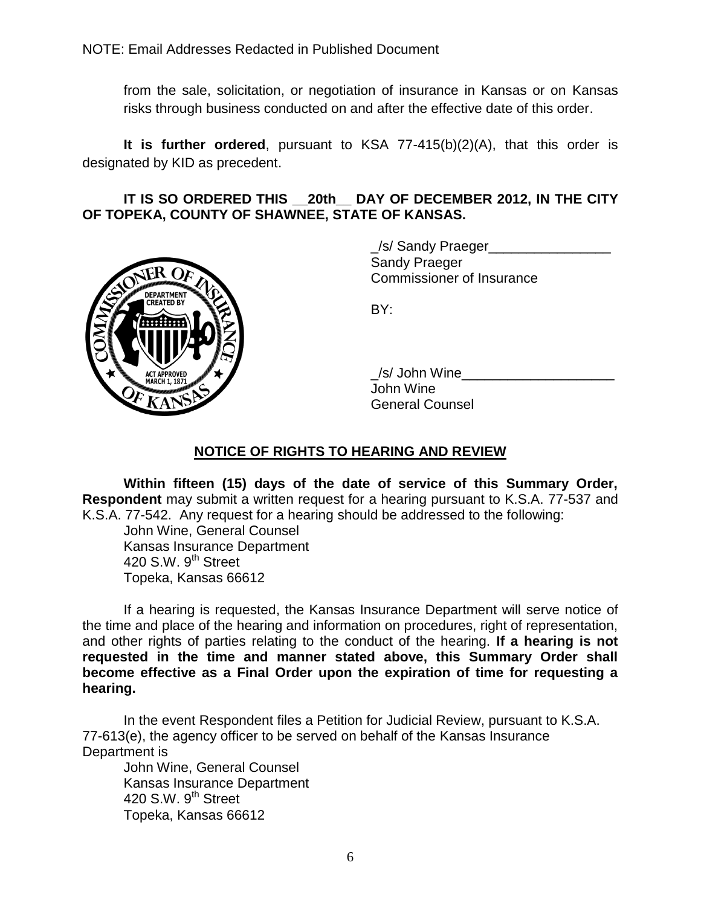from the sale, solicitation, or negotiation of insurance in Kansas or on Kansas risks through business conducted on and after the effective date of this order.

**It is further ordered**, pursuant to KSA 77-415(b)(2)(A), that this order is designated by KID as precedent.

#### **IT IS SO ORDERED THIS \_\_20th\_\_ DAY OF DECEMBER 2012, IN THE CITY OF TOPEKA, COUNTY OF SHAWNEE, STATE OF KANSAS.**



/s/ Sandy Praeger Sandy Praeger Commissioner of Insurance

BY:

\_/s/ John Wine\_\_\_\_\_\_\_\_\_\_\_\_\_\_\_\_\_\_\_\_ John Wine General Counsel

# **NOTICE OF RIGHTS TO HEARING AND REVIEW**

**Within fifteen (15) days of the date of service of this Summary Order, Respondent** may submit a written request for a hearing pursuant to K.S.A. 77-537 and K.S.A. 77-542. Any request for a hearing should be addressed to the following:

John Wine, General Counsel Kansas Insurance Department 420 S.W.  $9<sup>th</sup>$  Street Topeka, Kansas 66612

If a hearing is requested, the Kansas Insurance Department will serve notice of the time and place of the hearing and information on procedures, right of representation, and other rights of parties relating to the conduct of the hearing. **If a hearing is not requested in the time and manner stated above, this Summary Order shall become effective as a Final Order upon the expiration of time for requesting a hearing.**

In the event Respondent files a Petition for Judicial Review, pursuant to K.S.A. 77-613(e), the agency officer to be served on behalf of the Kansas Insurance Department is

John Wine, General Counsel Kansas Insurance Department 420 S.W.  $9<sup>th</sup>$  Street Topeka, Kansas 66612